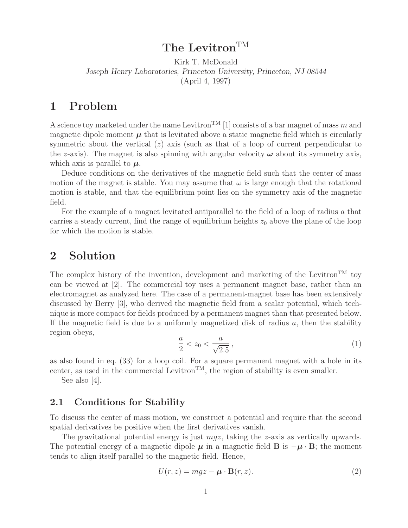# **The Levitron**TM

Kirk T. McDonald *Joseph Henry Laboratories, Princeton University, Princeton, NJ 08544* (April 4, 1997)

### **1 Problem**

A science toy marketed under the name Levitron<sup>TM</sup> [1] consists of a bar magnet of mass m and magnetic dipole moment  $\mu$  that is levitated above a static magnetic field which is circularly symmetric about the vertical  $(z)$  axis (such as that of a loop of current perpendicular to the z-axis). The magnet is also spinning with angular velocity  $\omega$  about its symmetry axis, which axis is parallel to  $\mu$ .

Deduce conditions on the derivatives of the magnetic field such that the center of mass motion of the magnet is stable. You may assume that  $\omega$  is large enough that the rotational motion is stable, and that the equilibrium point lies on the symmetry axis of the magnetic field.

For the example of a magnet levitated antiparallel to the field of a loop of radius a that carries a steady current, find the range of equilibrium heights  $z_0$  above the plane of the loop for which the motion is stable.

### **2 Solution**

The complex history of the invention, development and marketing of the Levitron<sup>TM</sup> toy can be viewed at [2]. The commercial toy uses a permanent magnet base, rather than an electromagnet as analyzed here. The case of a permanent-magnet base has been extensively discussed by Berry [3], who derived the magnetic field from a scalar potential, which technique is more compact for fields produced by a permanent magnet than that presented below. If the magnetic field is due to a uniformly magnetized disk of radius  $a$ , then the stability region obeys,

$$
\frac{a}{2} < z_0 < \frac{a}{\sqrt{2.5}},\tag{1}
$$

as also found in eq. (33) for a loop coil. For a square permanent magnet with a hole in its center, as used in the commercial Levitron<sup>TM</sup>, the region of stability is even smaller.

See also [4].

### **2.1 Conditions for Stability**

To discuss the center of mass motion, we construct a potential and require that the second spatial derivatives be positive when the first derivatives vanish.

The gravitational potential energy is just  $mgz$ , taking the z-axis as vertically upwards. The potential energy of a magnetic dipole  $\mu$  in a magnetic field **B** is  $-\mu \cdot B$ ; the moment tends to align itself parallel to the magnetic field. Hence,

$$
U(r, z) = mgz - \boldsymbol{\mu} \cdot \mathbf{B}(r, z). \tag{2}
$$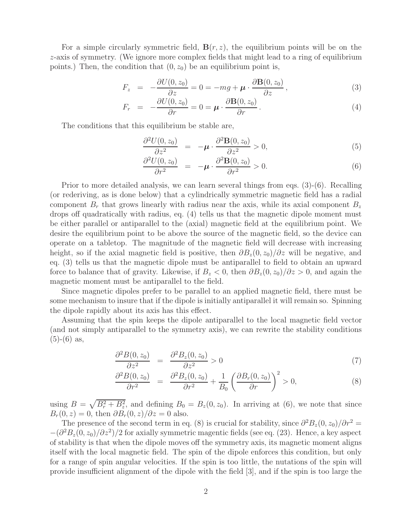For a simple circularly symmetric field,  $\mathbf{B}(r, z)$ , the equilibrium points will be on the z-axis of symmetry. (We ignore more complex fields that might lead to a ring of equilibrium points.) Then, the condition that  $(0, z_0)$  be an equilibrium point is,

$$
F_z = -\frac{\partial U(0, z_0)}{\partial z} = 0 = -mg + \mu \cdot \frac{\partial \mathbf{B}(0, z_0)}{\partial z}, \qquad (3)
$$

$$
F_r = -\frac{\partial U(0, z_0)}{\partial r} = 0 = \boldsymbol{\mu} \cdot \frac{\partial \mathbf{B}(0, z_0)}{\partial r}.
$$
 (4)

The conditions that this equilibrium be stable are,

$$
\frac{\partial^2 U(0, z_0)}{\partial z^2} = -\boldsymbol{\mu} \cdot \frac{\partial^2 \mathbf{B}(0, z_0)}{\partial z^2} > 0,
$$
\n(5)

$$
\frac{\partial^2 U(0, z_0)}{\partial r^2} = -\boldsymbol{\mu} \cdot \frac{\partial^2 \mathbf{B}(0, z_0)}{\partial r^2} > 0.
$$
\n(6)

Prior to more detailed analysis, we can learn several things from eqs. (3)-(6). Recalling (or rederiving, as is done below) that a cylindrically symmetric magnetic field has a radial component  $B_r$  that grows linearly with radius near the axis, while its axial component  $B_z$ drops off quadratically with radius, eq. (4) tells us that the magnetic dipole moment must be either parallel or antiparallel to the (axial) magnetic field at the equilibrium point. We desire the equilibrium point to be above the source of the magnetic field, so the device can operate on a tabletop. The magnitude of the magnetic field will decrease with increasing height, so if the axial magnetic field is positive, then  $\partial B_z(0, z_0)/\partial z$  will be negative, and eq. (3) tells us that the magnetic dipole must be antiparallel to field to obtain an upward force to balance that of gravity. Likewise, if  $B_z < 0$ , then  $\partial B_z(0, z_0)/\partial z > 0$ , and again the magnetic moment must be antiparallel to the field.

Since magnetic dipoles prefer to be parallel to an applied magnetic field, there must be some mechanism to insure that if the dipole is initially antiparallel it will remain so. Spinning the dipole rapidly about its axis has this effect.

Assuming that the spin keeps the dipole antiparallel to the local magnetic field vector (and not simply antiparallel to the symmetry axis), we can rewrite the stability conditions  $(5)-(6)$  as,

$$
\frac{\partial^2 B(0, z_0)}{\partial z^2} = \frac{\partial^2 B_z(0, z_0)}{\partial z^2} > 0
$$
\n(7)

$$
\frac{\partial^2 B(0, z_0)}{\partial r^2} = \frac{\partial^2 B_z(0, z_0)}{\partial r^2} + \frac{1}{B_0} \left( \frac{\partial B_r(0, z_0)}{\partial r} \right)^2 > 0,
$$
\n(8)

using  $B = \sqrt{B_r^2 + B_z^2}$ , and defining  $B_0 = B_z(0, z_0)$ . In arriving at (6), we note that since  $B_r(0, z) = 0$ , then  $\partial B_r(0, z)/\partial z = 0$  also.

The presence of the second term in eq. (8) is crucial for stability, since  $\partial^2 B_z(0, z_0)/\partial r^2 =$  $-(\partial^2 B_z(0, z_0)/\partial z^2)/2$  for axially symmetric magentic fields (see eq. (23). Hence, a key aspect of stability is that when the dipole moves off the symmetry axis, its magnetic moment aligns itself with the local magnetic field. The spin of the dipole enforces this condition, but only for a range of spin angular velocities. If the spin is too little, the nutations of the spin will provide insufficient alignment of the dipole with the field [3], and if the spin is too large the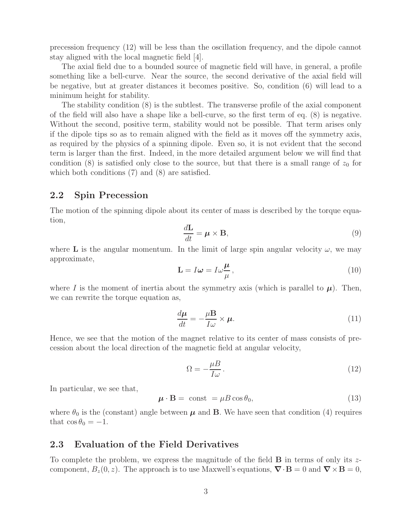precession frequency (12) will be less than the oscillation frequency, and the dipole cannot stay aligned with the local magnetic field [4].

The axial field due to a bounded source of magnetic field will have, in general, a profile something like a bell-curve. Near the source, the second derivative of the axial field will be negative, but at greater distances it becomes positive. So, condition (6) will lead to a minimum height for stability.

The stability condition (8) is the subtlest. The transverse profile of the axial component of the field will also have a shape like a bell-curve, so the first term of eq. (8) is negative. Without the second, positive term, stability would not be possible. That term arises only if the dipole tips so as to remain aligned with the field as it moves off the symmetry axis, as required by the physics of a spinning dipole. Even so, it is not evident that the second term is larger than the first. Indeed, in the more detailed argument below we will find that condition (8) is satisfied only close to the source, but that there is a small range of  $z_0$  for which both conditions (7) and (8) are satisfied.

#### **2.2 Spin Precession**

The motion of the spinning dipole about its center of mass is described by the torque equation,

$$
\frac{d\mathbf{L}}{dt} = \boldsymbol{\mu} \times \mathbf{B},\tag{9}
$$

where **L** is the angular momentum. In the limit of large spin angular velocity  $\omega$ , we may approximate,

$$
\mathbf{L} = I\boldsymbol{\omega} = I\omega\frac{\boldsymbol{\mu}}{\mu},\tag{10}
$$

where I is the moment of inertia about the symmetry axis (which is parallel to  $\mu$ ). Then, we can rewrite the torque equation as,

$$
\frac{d\boldsymbol{\mu}}{dt} = -\frac{\mu \mathbf{B}}{I\omega} \times \boldsymbol{\mu}.\tag{11}
$$

Hence, we see that the motion of the magnet relative to its center of mass consists of precession about the local direction of the magnetic field at angular velocity,

$$
\Omega = -\frac{\mu B}{I\omega}.\tag{12}
$$

In particular, we see that,

$$
\boldsymbol{\mu} \cdot \mathbf{B} = \text{ const } = \mu B \cos \theta_0, \tag{13}
$$

where  $\theta_0$  is the (constant) angle between  $\mu$  and **B**. We have seen that condition (4) requires that  $\cos \theta_0 = -1$ .

#### **2.3 Evaluation of the Field Derivatives**

To complete the problem, we express the magnitude of the field **B** in terms of only its zcomponent,  $B_z(0, z)$ . The approach is to use Maxwell's equations,  $\nabla \cdot \mathbf{B} = 0$  and  $\nabla \times \mathbf{B} = 0$ ,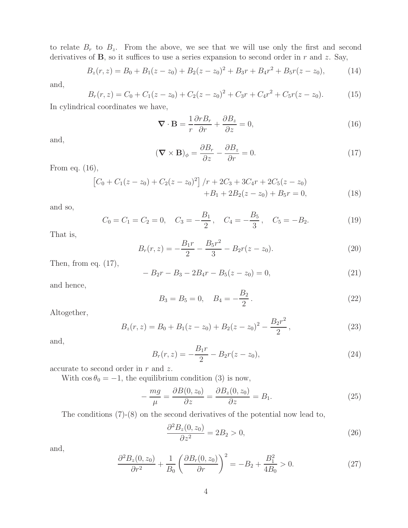to relate  $B_r$  to  $B_z$ . From the above, we see that we will use only the first and second derivatives of  $\bf{B}$ , so it suffices to use a series expansion to second order in r and z. Say,

$$
B_z(r, z) = B_0 + B_1(z - z_0) + B_2(z - z_0)^2 + B_3r + B_4r^2 + B_5r(z - z_0),
$$
 (14)

and,

$$
B_r(r, z) = C_0 + C_1(z - z_0) + C_2(z - z_0)^2 + C_3r + C_4r^2 + C_5r(z - z_0).
$$
 (15)

In cylindrical coordinates we have,

$$
\nabla \cdot \mathbf{B} = \frac{1}{r} \frac{\partial r B_r}{\partial r} + \frac{\partial B_z}{\partial z} = 0,
$$
\n(16)

and,

$$
(\mathbf{\nabla} \times \mathbf{B})_{\phi} = \frac{\partial B_r}{\partial z} - \frac{\partial B_z}{\partial r} = 0.
$$
 (17)

From eq. (16),

$$
\[C_0 + C_1(z - z_0) + C_2(z - z_0)^2\] / r + 2C_3 + 3C_4r + 2C_5(z - z_0) + B_1 + 2B_2(z - z_0) + B_5r = 0,
$$
\n(18)

and so,

$$
C_0 = C_1 = C_2 = 0
$$
,  $C_3 = -\frac{B_1}{2}$ ,  $C_4 = -\frac{B_5}{3}$ ,  $C_5 = -B_2$ . (19)

That is,

$$
B_r(r,z) = -\frac{B_1r}{2} - \frac{B_5r^2}{3} - B_2r(z-z_0).
$$
 (20)

Then, from eq.  $(17)$ ,

$$
-B_2r - B_3 - 2B_4r - B_5(z - z_0) = 0,
$$
\n(21)

and hence,

$$
B_3 = B_5 = 0, \quad B_4 = -\frac{B_2}{2}.
$$
\n<sup>(22)</sup>

Altogether,

$$
B_z(r, z) = B_0 + B_1(z - z_0) + B_2(z - z_0)^2 - \frac{B_2r^2}{2},
$$
\n(23)

and,

$$
B_r(r,z) = -\frac{B_1r}{2} - B_2r(z-z_0),\tag{24}
$$

accurate to second order in  $r$  and  $z$ .

With  $\cos \theta_0 = -1$ , the equilibrium condition (3) is now,

$$
-\frac{mg}{\mu} = \frac{\partial B(0, z_0)}{\partial z} = \frac{\partial B_z(0, z_0)}{\partial z} = B_1.
$$
\n(25)

The conditions (7)-(8) on the second derivatives of the potential now lead to,

$$
\frac{\partial^2 B_z(0, z_0)}{\partial z^2} = 2B_2 > 0,
$$
\n(26)

and,

$$
\frac{\partial^2 B_z(0, z_0)}{\partial r^2} + \frac{1}{B_0} \left( \frac{\partial B_r(0, z_0)}{\partial r} \right)^2 = -B_2 + \frac{B_1^2}{4B_0} > 0. \tag{27}
$$